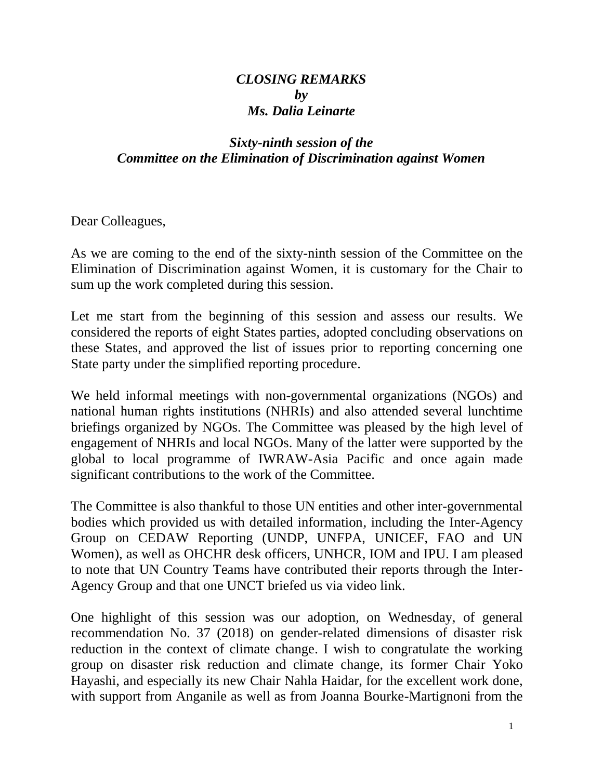## *CLOSING REMARKS by Ms. Dalia Leinarte*

## *Sixty-ninth session of the Committee on the Elimination of Discrimination against Women*

Dear Colleagues,

As we are coming to the end of the sixty-ninth session of the Committee on the Elimination of Discrimination against Women, it is customary for the Chair to sum up the work completed during this session.

Let me start from the beginning of this session and assess our results. We considered the reports of eight States parties, adopted concluding observations on these States, and approved the list of issues prior to reporting concerning one State party under the simplified reporting procedure.

We held informal meetings with non-governmental organizations (NGOs) and national human rights institutions (NHRIs) and also attended several lunchtime briefings organized by NGOs. The Committee was pleased by the high level of engagement of NHRIs and local NGOs. Many of the latter were supported by the global to local programme of IWRAW-Asia Pacific and once again made significant contributions to the work of the Committee.

The Committee is also thankful to those UN entities and other inter-governmental bodies which provided us with detailed information, including the Inter-Agency Group on CEDAW Reporting (UNDP, UNFPA, UNICEF, FAO and UN Women), as well as OHCHR desk officers, UNHCR, IOM and IPU. I am pleased to note that UN Country Teams have contributed their reports through the Inter-Agency Group and that one UNCT briefed us via video link.

One highlight of this session was our adoption, on Wednesday, of general recommendation No. 37 (2018) on gender-related dimensions of disaster risk reduction in the context of climate change. I wish to congratulate the working group on disaster risk reduction and climate change, its former Chair Yoko Hayashi, and especially its new Chair Nahla Haidar, for the excellent work done, with support from Anganile as well as from Joanna Bourke-Martignoni from the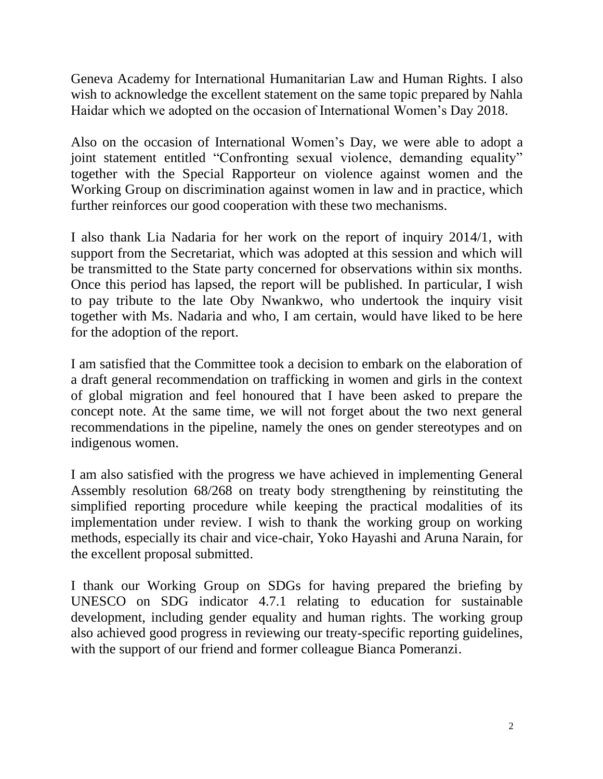Geneva Academy for International Humanitarian Law and Human Rights. I also wish to acknowledge the excellent statement on the same topic prepared by Nahla Haidar which we adopted on the occasion of International Women's Day 2018.

Also on the occasion of International Women's Day, we were able to adopt a joint statement entitled "Confronting sexual violence, demanding equality" together with the Special Rapporteur on violence against women and the Working Group on discrimination against women in law and in practice, which further reinforces our good cooperation with these two mechanisms.

I also thank Lia Nadaria for her work on the report of inquiry 2014/1, with support from the Secretariat, which was adopted at this session and which will be transmitted to the State party concerned for observations within six months. Once this period has lapsed, the report will be published. In particular, I wish to pay tribute to the late Oby Nwankwo, who undertook the inquiry visit together with Ms. Nadaria and who, I am certain, would have liked to be here for the adoption of the report.

I am satisfied that the Committee took a decision to embark on the elaboration of a draft general recommendation on trafficking in women and girls in the context of global migration and feel honoured that I have been asked to prepare the concept note. At the same time, we will not forget about the two next general recommendations in the pipeline, namely the ones on gender stereotypes and on indigenous women.

I am also satisfied with the progress we have achieved in implementing General Assembly resolution 68/268 on treaty body strengthening by reinstituting the simplified reporting procedure while keeping the practical modalities of its implementation under review. I wish to thank the working group on working methods, especially its chair and vice-chair, Yoko Hayashi and Aruna Narain, for the excellent proposal submitted.

I thank our Working Group on SDGs for having prepared the briefing by UNESCO on SDG indicator 4.7.1 relating to education for sustainable development, including gender equality and human rights. The working group also achieved good progress in reviewing our treaty-specific reporting guidelines, with the support of our friend and former colleague Bianca Pomeranzi.